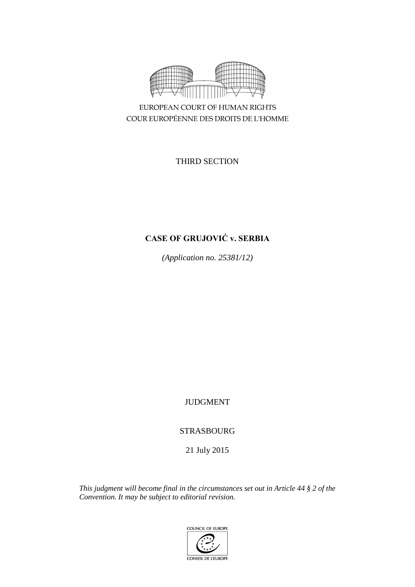

COUR EUROPÉENNE DES DROITS DE L'HOMME

THIRD SECTION

# **CASE OF GRUJOVIĆ v. SERBIA**

*(Application no. 25381/12)*

JUDGMENT

STRASBOURG

21 July 2015

*This judgment will become final in the circumstances set out in Article 44 § 2 of the Convention. It may be subject to editorial revision.*

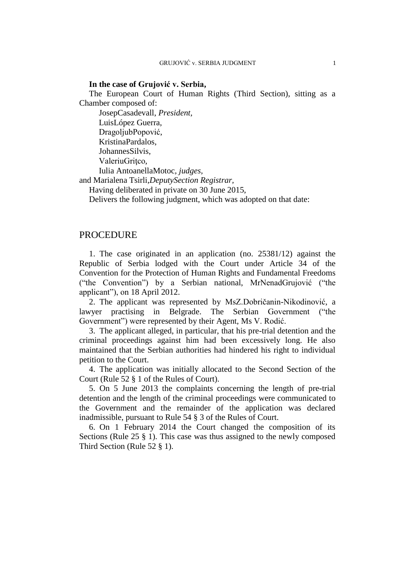# **In the case of Grujović v. Serbia,**

The European Court of Human Rights (Third Section), sitting as a Chamber composed of:

JosepCasadevall, *President,* LuisLópez Guerra, DragoljubPopović, KristinaPardalos, JohannesSilvis, ValeriuGritco, Iulia AntoanellaMotoc, *judges,*

and Marialena Tsirli,*DeputySection Registrar,*

Having deliberated in private on 30 June 2015,

Delivers the following judgment, which was adopted on that date:

# PROCEDURE

1. The case originated in an application (no. 25381/12) against the Republic of Serbia lodged with the Court under Article 34 of the Convention for the Protection of Human Rights and Fundamental Freedoms ("the Convention") by a Serbian national, MrNenadGrujović ("the applicant"), on 18 April 2012.

2. The applicant was represented by MsZ.Dobričanin-Nikodinović, a lawyer practising in Belgrade. The Serbian Government ("the Government") were represented by their Agent, Ms V. Rodić.

3. The applicant alleged, in particular, that his pre-trial detention and the criminal proceedings against him had been excessively long. He also maintained that the Serbian authorities had hindered his right to individual petition to the Court.

4. The application was initially allocated to the Second Section of the Court (Rule 52 § 1 of the Rules of Court).

5. On 5 June 2013 the complaints concerning the length of pre-trial detention and the length of the criminal proceedings were communicated to the Government and the remainder of the application was declared inadmissible, pursuant to Rule 54 § 3 of the Rules of Court.

6. On 1 February 2014 the Court changed the composition of its Sections (Rule 25 § 1). This case was thus assigned to the newly composed Third Section (Rule 52 § 1).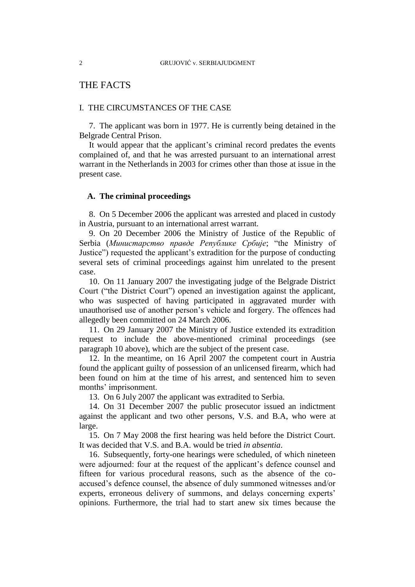# THE FACTS

# I. THE CIRCUMSTANCES OF THE CASE

7. The applicant was born in 1977. He is currently being detained in the Belgrade Central Prison.

It would appear that the applicant's criminal record predates the events complained of, and that he was arrested pursuant to an international arrest warrant in the Netherlands in 2003 for crimes other than those at issue in the present case.

# **A. The criminal proceedings**

8. On 5 December 2006 the applicant was arrested and placed in custody in Austria, pursuant to an international arrest warrant.

9. On 20 December 2006 the Ministry of Justice of the Republic of Serbia (*Министарство правде Републике Србије*; "the Ministry of Justice") requested the applicant's extradition for the purpose of conducting several sets of criminal proceedings against him unrelated to the present case.

<span id="page-3-0"></span>10. On 11 January 2007 the investigating judge of the Belgrade District Court ("the District Court") opened an investigation against the applicant, who was suspected of having participated in aggravated murder with unauthorised use of another person's vehicle and forgery. The offences had allegedly been committed on 24 March 2006.

11. On 29 January 2007 the Ministry of Justice extended its extradition request to include the above-mentioned criminal proceedings (see paragraph [10](#page-3-0) above), which are the subject of the present case.

12. In the meantime, on 16 April 2007 the competent court in Austria found the applicant guilty of possession of an unlicensed firearm, which had been found on him at the time of his arrest, and sentenced him to seven months' imprisonment.

13. On 6 July 2007 the applicant was extradited to Serbia.

<span id="page-3-3"></span><span id="page-3-1"></span>14. On 31 December 2007 the public prosecutor issued an indictment against the applicant and two other persons, V.S. and B.A, who were at large.

15. On 7 May 2008 the first hearing was held before the District Court. It was decided that V.S. and B.A. would be tried *in absentia*.

<span id="page-3-2"></span>16. Subsequently, forty-one hearings were scheduled, of which nineteen were adjourned: four at the request of the applicant's defence counsel and fifteen for various procedural reasons, such as the absence of the coaccused's defence counsel, the absence of duly summoned witnesses and/or experts, erroneous delivery of summons, and delays concerning experts' opinions. Furthermore, the trial had to start anew six times because the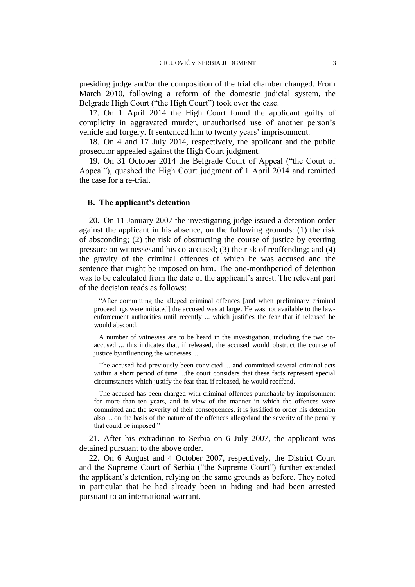presiding judge and/or the composition of the trial chamber changed. From March 2010, following a reform of the domestic judicial system, the Belgrade High Court ("the High Court") took over the case.

<span id="page-4-1"></span>17. On 1 April 2014 the High Court found the applicant guilty of complicity in aggravated murder, unauthorised use of another person's vehicle and forgery. It sentenced him to twenty years' imprisonment.

18. On 4 and 17 July 2014, respectively, the applicant and the public prosecutor appealed against the High Court judgment.

<span id="page-4-0"></span>19. On 31 October 2014 the Belgrade Court of Appeal ("the Court of Appeal"), quashed the High Court judgment of 1 April 2014 and remitted the case for a re-trial.

# **B. The applicant's detention**

<span id="page-4-2"></span>20. On 11 January 2007 the investigating judge issued a detention order against the applicant in his absence, on the following grounds: (1) the risk of absconding; (2) the risk of obstructing the course of justice by exerting pressure on witnessesand his co-accused; (3) the risk of reoffending; and (4) the gravity of the criminal offences of which he was accused and the sentence that might be imposed on him. The one-monthperiod of detention was to be calculated from the date of the applicant's arrest. The relevant part of the decision reads as follows:

"After committing the alleged criminal offences [and when preliminary criminal proceedings were initiated] the accused was at large. He was not available to the lawenforcement authorities until recently ... which justifies the fear that if released he would abscond.

A number of witnesses are to be heard in the investigation, including the two coaccused ... this indicates that, if released, the accused would obstruct the course of justice byinfluencing the witnesses ...

The accused had previously been convicted ... and committed several criminal acts within a short period of time ...the court considers that these facts represent special circumstances which justify the fear that, if released, he would reoffend.

The accused has been charged with criminal offences punishable by imprisonment for more than ten years, and in view of the manner in which the offences were committed and the severity of their consequences, it is justified to order his detention also ... on the basis of the nature of the offences allegedand the severity of the penalty that could be imposed."

21. After his extradition to Serbia on 6 July 2007, the applicant was detained pursuant to the above order.

22. On 6 August and 4 October 2007, respectively, the District Court and the Supreme Court of Serbia ("the Supreme Court") further extended the applicant's detention, relying on the same grounds as before. They noted in particular that he had already been in hiding and had been arrested pursuant to an international warrant.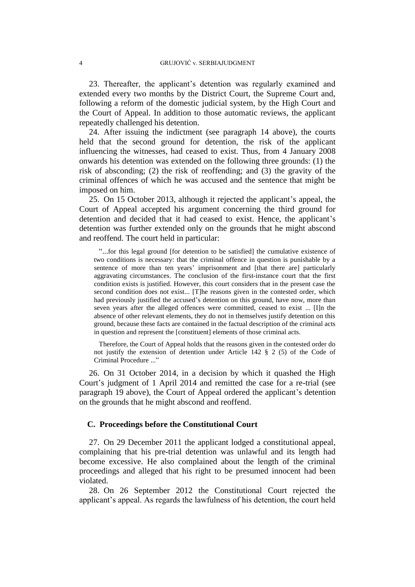23. Thereafter, the applicant's detention was regularly examined and extended every two months by the District Court, the Supreme Court and, following a reform of the domestic judicial system, by the High Court and the Court of Appeal. In addition to those automatic reviews, the applicant repeatedly challenged his detention.

<span id="page-5-0"></span>24. After issuing the indictment (see paragraph [14](#page-3-1) above), the courts held that the second ground for detention, the risk of the applicant influencing the witnesses, had ceased to exist. Thus, from 4 January 2008 onwards his detention was extended on the following three grounds: (1) the risk of absconding; (2) the risk of reoffending; and (3) the gravity of the criminal offences of which he was accused and the sentence that might be imposed on him.

<span id="page-5-1"></span>25. On 15 October 2013, although it rejected the applicant's appeal, the Court of Appeal accepted his argument concerning the third ground for detention and decided that it had ceased to exist. Hence, the applicant's detention was further extended only on the grounds that he might abscond and reoffend. The court held in particular:

"...for this legal ground [for detention to be satisfied] the cumulative existence of two conditions is necessary: that the criminal offence in question is punishable by a sentence of more than ten years' imprisonment and [that there are] particularly aggravating circumstances. The conclusion of the first-instance court that the first condition exists is justified. However, this court considers that in the present case the second condition does not exist... [T]he reasons given in the contested order, which had previously justified the accused's detention on this ground, have now, more than seven years after the alleged offences were committed, ceased to exist ... [I]n the absence of other relevant elements, they do not in themselves justify detention on this ground, because these facts are contained in the factual description of the criminal acts in question and represent the [constituent] elements of those criminal acts.

Therefore, the Court of Appeal holds that the reasons given in the contested order do not justify the extension of detention under Article 142 § 2 (5) of the Code of Criminal Procedure ..."

26. On 31 October 2014, in a decision by which it quashed the High Court's judgment of 1 April 2014 and remitted the case for a re-trial (see paragraph [19](#page-4-0) above), the Court of Appeal ordered the applicant's detention on the grounds that he might abscond and reoffend.

### **C. Proceedings before the Constitutional Court**

27. On 29 December 2011 the applicant lodged a constitutional appeal, complaining that his pre-trial detention was unlawful and its length had become excessive. He also complained about the length of the criminal proceedings and alleged that his right to be presumed innocent had been violated.

<span id="page-5-2"></span>28. On 26 September 2012 the Constitutional Court rejected the applicant's appeal. As regards the lawfulness of his detention, the court held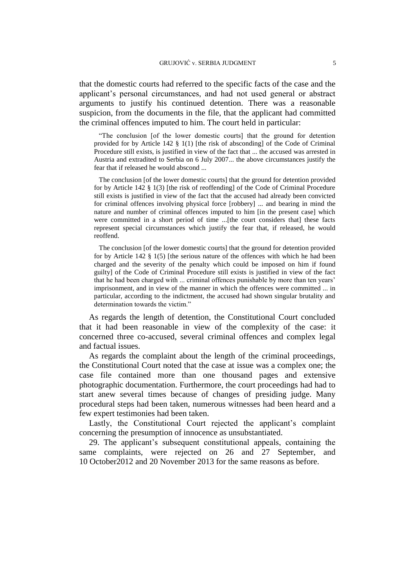that the domestic courts had referred to the specific facts of the case and the applicant's personal circumstances, and had not used general or abstract arguments to justify his continued detention. There was a reasonable suspicion, from the documents in the file, that the applicant had committed the criminal offences imputed to him. The court held in particular:

"The conclusion [of the lower domestic courts] that the ground for detention provided for by Article 142 § 1(1) [the risk of absconding] of the Code of Criminal Procedure still exists, is justified in view of the fact that ... the accused was arrested in Austria and extradited to Serbia on 6 July 2007... the above circumstances justify the fear that if released he would abscond ...

The conclusion [of the lower domestic courts] that the ground for detention provided for by Article 142 § 1(3) [the risk of reoffending] of the Code of Criminal Procedure still exists is justified in view of the fact that the accused had already been convicted for criminal offences involving physical force [robbery] ... and bearing in mind the nature and number of criminal offences imputed to him [in the present case] which were committed in a short period of time ...[the court considers that] these facts represent special circumstances which justify the fear that, if released, he would reoffend.

The conclusion [of the lower domestic courts] that the ground for detention provided for by Article 142  $\S$  1(5) [the serious nature of the offences with which he had been charged and the severity of the penalty which could be imposed on him if found guilty] of the Code of Criminal Procedure still exists is justified in view of the fact that he had been charged with ... criminal offences punishable by more than ten years' imprisonment, and in view of the manner in which the offences were committed ... in particular, according to the indictment, the accused had shown singular brutality and determination towards the victim."

As regards the length of detention, the Constitutional Court concluded that it had been reasonable in view of the complexity of the case: it concerned three co-accused, several criminal offences and complex legal and factual issues.

As regards the complaint about the length of the criminal proceedings, the Constitutional Court noted that the case at issue was a complex one; the case file contained more than one thousand pages and extensive photographic documentation. Furthermore, the court proceedings had had to start anew several times because of changes of presiding judge. Many procedural steps had been taken, numerous witnesses had been heard and a few expert testimonies had been taken.

Lastly, the Constitutional Court rejected the applicant's complaint concerning the presumption of innocence as unsubstantiated.

29. The applicant's subsequent constitutional appeals, containing the same complaints, were rejected on 26 and 27 September, and 10 October2012 and 20 November 2013 for the same reasons as before.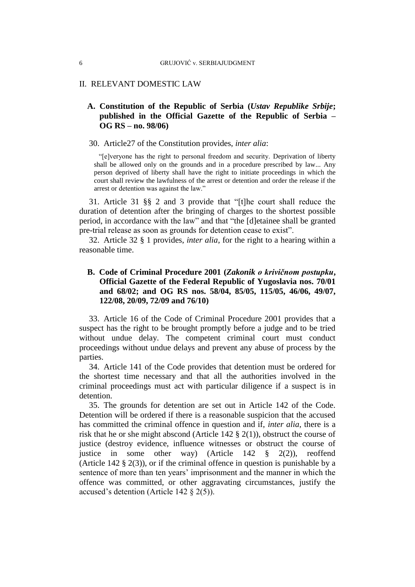# II. RELEVANT DOMESTIC LAW

# **A. Constitution of the Republic of Serbia (***Ustav Republike Srbije***; published in the Official Gazette of the Republic of Serbia – OG RS – no. 98/06)**

#### 30. Article27 of the Constitution provides, *inter alia*:

"[e]veryone has the right to personal freedom and security. Deprivation of liberty shall be allowed only on the grounds and in a procedure prescribed by law... Any person deprived of liberty shall have the right to initiate proceedings in which the court shall review the lawfulness of the arrest or detention and order the release if the arrest or detention was against the law."

31. Article 31 §§ 2 and 3 provide that "[t]he court shall reduce the duration of detention after the bringing of charges to the shortest possible period, in accordance with the law" and that "the [d]etainee shall be granted pre-trial release as soon as grounds for detention cease to exist".

32. Article 32 § 1 provides, *inter alia*, for the right to a hearing within a reasonable time.

# **B. Code of Criminal Procedure 2001 (***Zakonik o krivičnom postupku***, Official Gazette of the Federal Republic of Yugoslavia nos. 70/01 and 68/02; and OG RS nos. 58/04, 85/05, 115/05, 46/06, 49/07, 122/08, 20/09, 72/09 and 76/10)**

33. Article 16 of the Code of Criminal Procedure 2001 provides that a suspect has the right to be brought promptly before a judge and to be tried without undue delay. The competent criminal court must conduct proceedings without undue delays and prevent any abuse of process by the parties.

34. Article 141 of the Code provides that detention must be ordered for the shortest time necessary and that all the authorities involved in the criminal proceedings must act with particular diligence if a suspect is in detention.

35. The grounds for detention are set out in Article 142 of the Code. Detention will be ordered if there is a reasonable suspicion that the accused has committed the criminal offence in question and if, *inter alia*, there is a risk that he or she might abscond (Article 142 § 2(1)), obstruct the course of justice (destroy evidence, influence witnesses or obstruct the course of justice in some other way) (Article 142 § 2(2)), reoffend (Article 142 § 2(3)), or if the criminal offence in question is punishable by a sentence of more than ten years' imprisonment and the manner in which the offence was committed, or other aggravating circumstances, justify the accused's detention (Article 142 § 2(5)).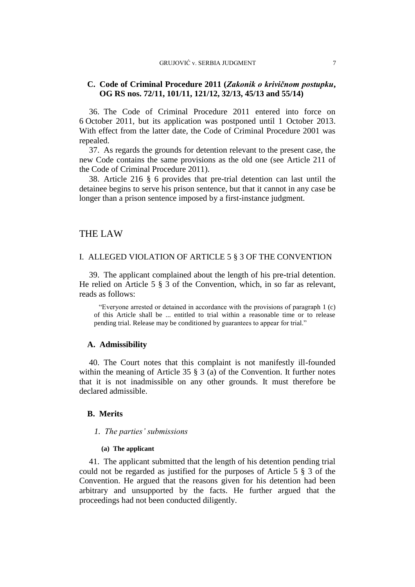# **C. Code of Criminal Procedure 2011 (***Zakonik o krivičnom postupku***, OG RS nos. 72/11, 101/11, 121/12, 32/13, 45/13 and 55/14)**

36. The Code of Criminal Procedure 2011 entered into force on 6 October 2011, but its application was postponed until 1 October 2013. With effect from the latter date, the Code of Criminal Procedure 2001 was repealed.

37. As regards the grounds for detention relevant to the present case, the new Code contains the same provisions as the old one (see Article 211 of the Code of Criminal Procedure 2011).

38. Article 216 § 6 provides that pre-trial detention can last until the detainee begins to serve his prison sentence, but that it cannot in any case be longer than a prison sentence imposed by a first-instance judgment.

# THE LAW

### I. ALLEGED VIOLATION OF ARTICLE 5 § 3 OF THE CONVENTION

39. The applicant complained about the length of his pre-trial detention. He relied on Article 5 § 3 of the Convention, which, in so far as relevant, reads as follows:

"Everyone arrested or detained in accordance with the provisions of paragraph 1 (c) of this Article shall be ... entitled to trial within a reasonable time or to release pending trial. Release may be conditioned by guarantees to appear for trial."

#### **A. Admissibility**

40. The Court notes that this complaint is not manifestly ill-founded within the meaning of Article 35 § 3 (a) of the Convention. It further notes that it is not inadmissible on any other grounds. It must therefore be declared admissible.

### **B. Merits**

# *1. The parties' submissions*

#### **(a) The applicant**

41. The applicant submitted that the length of his detention pending trial could not be regarded as justified for the purposes of Article 5 § 3 of the Convention. He argued that the reasons given for his detention had been arbitrary and unsupported by the facts. He further argued that the proceedings had not been conducted diligently.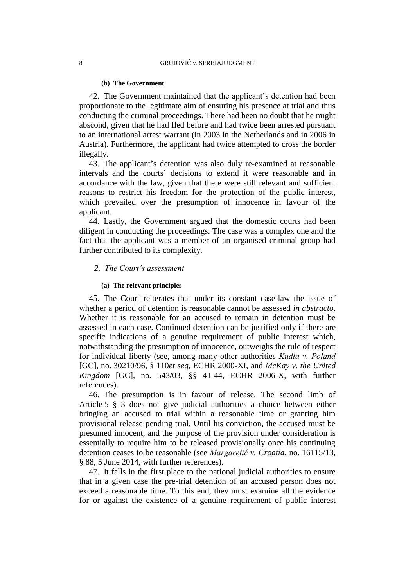#### **(b) The Government**

42. The Government maintained that the applicant's detention had been proportionate to the legitimate aim of ensuring his presence at trial and thus conducting the criminal proceedings. There had been no doubt that he might abscond, given that he had fled before and had twice been arrested pursuant to an international arrest warrant (in 2003 in the Netherlands and in 2006 in Austria). Furthermore, the applicant had twice attempted to cross the border illegally.

43. The applicant's detention was also duly re-examined at reasonable intervals and the courts' decisions to extend it were reasonable and in accordance with the law, given that there were still relevant and sufficient reasons to restrict his freedom for the protection of the public interest, which prevailed over the presumption of innocence in favour of the applicant.

<span id="page-9-0"></span>44. Lastly, the Government argued that the domestic courts had been diligent in conducting the proceedings. The case was a complex one and the fact that the applicant was a member of an organised criminal group had further contributed to its complexity.

#### *2. The Court's assessment*

### **(a) The relevant principles**

45. The Court reiterates that under its constant case-law the issue of whether a period of detention is reasonable cannot be assessed *in abstracto*. Whether it is reasonable for an accused to remain in detention must be assessed in each case. Continued detention can be justified only if there are specific indications of a genuine requirement of public interest which, notwithstanding the presumption of innocence, outweighs the rule of respect for individual liberty (see, among many other authorities *Kudła v. Poland*  [GC], no. 30210/96, § 110*et seq*, ECHR 2000-XI, and *McKay v. the United Kingdom* [GC], no. 543/03, §§ 41-44, ECHR 2006-X, with further references).

46. The presumption is in favour of release. The second limb of Article 5 § 3 does not give judicial authorities a choice between either bringing an accused to trial within a reasonable time or granting him provisional release pending trial. Until his conviction, the accused must be presumed innocent, and the purpose of the provision under consideration is essentially to require him to be released provisionally once his continuing detention ceases to be reasonable (see *Margaretić v. Croatia*, no. 16115/13, § 88, 5 June 2014, with further references).

47. It falls in the first place to the national judicial authorities to ensure that in a given case the pre-trial detention of an accused person does not exceed a reasonable time. To this end, they must examine all the evidence for or against the existence of a genuine requirement of public interest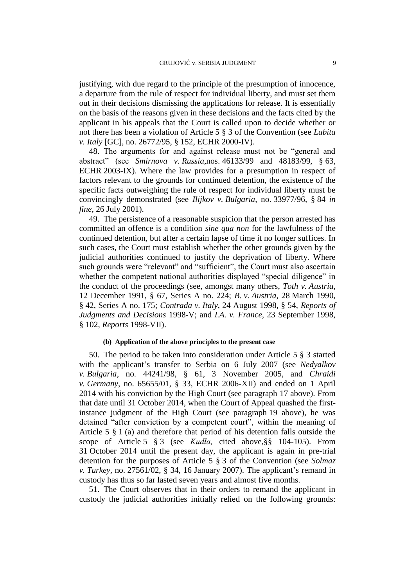justifying, with due regard to the principle of the presumption of innocence, a departure from the rule of respect for individual liberty, and must set them out in their decisions dismissing the applications for release. It is essentially on the basis of the reasons given in these decisions and the facts cited by the applicant in his appeals that the Court is called upon to decide whether or not there has been a violation of Article 5 § 3 of the Convention (see *Labita v. Italy* [GC], no. 26772/95, § 152, ECHR 2000-IV).

48. The arguments for and against release must not be "general and abstract" (see *Smirnova v. Russia*,nos. 46133/99 and 48183/99, § 63, ECHR 2003-IX). Where the law provides for a presumption in respect of factors relevant to the grounds for continued detention, the existence of the specific facts outweighing the rule of respect for individual liberty must be convincingly demonstrated (see *Ilijkov v. Bulgaria*, no. 33977/96, § 84 *in fine*, 26 July 2001).

49. The persistence of a reasonable suspicion that the person arrested has committed an offence is a condition *sine qua non* for the lawfulness of the continued detention, but after a certain lapse of time it no longer suffices. In such cases, the Court must establish whether the other grounds given by the judicial authorities continued to justify the deprivation of liberty. Where such grounds were "relevant" and "sufficient", the Court must also ascertain whether the competent national authorities displayed "special diligence" in the conduct of the proceedings (see, amongst many others, *Toth v. Austria*, 12 December 1991, § 67, Series A no. 224; *B. v. Austria*, 28 March 1990, § 42, Series A no. 175; *Contrada v. Italy*, 24 August 1998, § 54, *Reports of Judgments and Decisions* 1998-V; and *I.A. v. France*, 23 September 1998, § 102, *Reports* 1998-VII).

#### **(b) Application of the above principles to the present case**

50. The period to be taken into consideration under Article 5 § 3 started with the applicant's transfer to Serbia on 6 July 2007 (see *Nedyalkov v. Bulgaria*, no. 44241/98, § 61, 3 November 2005, and *Chraidi v. Germany*, no. 65655/01, § 33, ECHR 2006-XII) and ended on 1 April 2014 with his conviction by the High Court (see paragraph [17](#page-4-1) above). From that date until 31 October 2014, when the Court of Appeal quashed the firstinstance judgment of the High Court (see paragraph [19](#page-4-0) above), he was detained "after conviction by a competent court", within the meaning of Article 5 § 1 (a) and therefore that period of his detention falls outside the scope of Article 5 § 3 (see *Kudła,* cited above,§§ 104-105). From 31 October 2014 until the present day, the applicant is again in pre-trial detention for the purposes of Article 5 § 3 of the Convention (see *Solmaz v. Turkey*, no. 27561/02, § 34, 16 January 2007). The applicant's remand in custody has thus so far lasted seven years and almost five months.

51. The Court observes that in their orders to remand the applicant in custody the judicial authorities initially relied on the following grounds: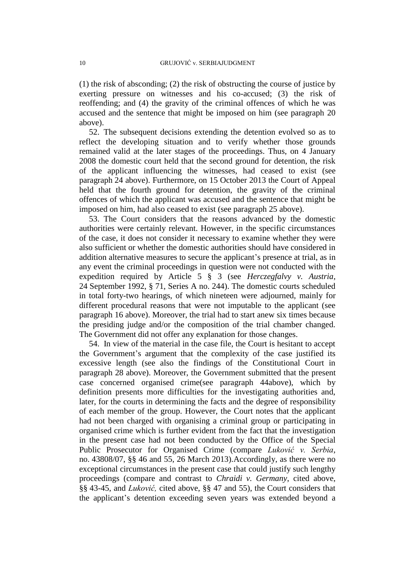(1) the risk of absconding; (2) the risk of obstructing the course of justice by exerting pressure on witnesses and his co-accused; (3) the risk of reoffending; and (4) the gravity of the criminal offences of which he was accused and the sentence that might be imposed on him (see paragraph [20](#page-4-2) above).

52. The subsequent decisions extending the detention evolved so as to reflect the developing situation and to verify whether those grounds remained valid at the later stages of the proceedings. Thus, on 4 January 2008 the domestic court held that the second ground for detention, the risk of the applicant influencing the witnesses, had ceased to exist (see paragraph [24](#page-5-0) above). Furthermore, on 15 October 2013 the Court of Appeal held that the fourth ground for detention, the gravity of the criminal offences of which the applicant was accused and the sentence that might be imposed on him, had also ceased to exist (see paragraph [25](#page-5-1) above).

53. The Court considers that the reasons advanced by the domestic authorities were certainly relevant. However, in the specific circumstances of the case, it does not consider it necessary to examine whether they were also sufficient or whether the domestic authorities should have considered in addition alternative measures to secure the applicant's presence at trial, as in any event the criminal proceedings in question were not conducted with the expedition required by Article 5 § 3 (see *Herczegfalvy v. Austria*, 24 September 1992, § 71, Series A no. 244). The domestic courts scheduled in total forty-two hearings, of which nineteen were adjourned, mainly for different procedural reasons that were not imputable to the applicant (see paragraph [16](#page-3-2) above). Moreover, the trial had to start anew six times because the presiding judge and/or the composition of the trial chamber changed. The Government did not offer any explanation for those changes.

54. In view of the material in the case file, the Court is hesitant to accept the Government's argument that the complexity of the case justified its excessive length (see also the findings of the Constitutional Court in paragraph [28](#page-5-2) above). Moreover, the Government submitted that the present case concerned organised crime(see paragraph [44a](#page-9-0)bove), which by definition presents more difficulties for the investigating authorities and, later, for the courts in determining the facts and the degree of responsibility of each member of the group. However, the Court notes that the applicant had not been charged with organising a criminal group or participating in organised crime which is further evident from the fact that the investigation in the present case had not been conducted by the Office of the Special Public Prosecutor for Organised Crime (compare *Luković v. Serbia*, no. 43808/07, §§ 46 and 55, 26 March 2013).Accordingly, as there were no exceptional circumstances in the present case that could justify such lengthy proceedings (compare and contrast to *Chraidi v. Germany*, cited above, §§ 43-45, and *Luković,* cited above, §§ 47 and 55), the Court considers that the applicant's detention exceeding seven years was extended beyond a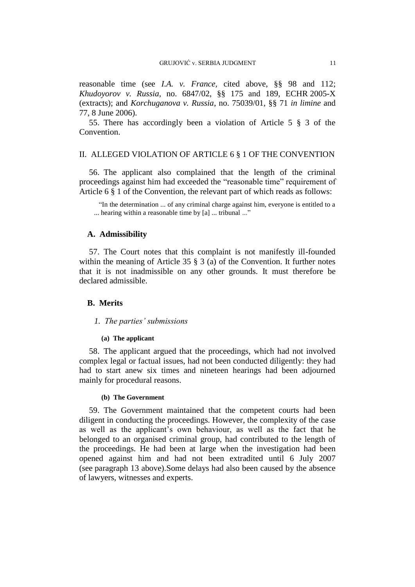reasonable time (see *I.A. v. France,* cited above, §§ 98 and 112; *Khudoyorov v. Russia*, no. 6847/02, §§ 175 and 189, ECHR 2005-X (extracts); and *Korchuganova v. Russia*, no. 75039/01, §§ 71 *in limine* and 77, 8 June 2006).

55. There has accordingly been a violation of Article 5 § 3 of the Convention.

### II. ALLEGED VIOLATION OF ARTICLE 6 § 1 OF THE CONVENTION

56. The applicant also complained that the length of the criminal proceedings against him had exceeded the "reasonable time" requirement of Article 6 § 1 of the Convention, the relevant part of which reads as follows:

"In the determination ... of any criminal charge against him, everyone is entitled to a ... hearing within a reasonable time by [a] ... tribunal ..."

# **A. Admissibility**

57. The Court notes that this complaint is not manifestly ill-founded within the meaning of Article 35 § 3 (a) of the Convention. It further notes that it is not inadmissible on any other grounds. It must therefore be declared admissible.

#### **B. Merits**

#### *1. The parties' submissions*

#### **(a) The applicant**

58. The applicant argued that the proceedings, which had not involved complex legal or factual issues, had not been conducted diligently: they had had to start anew six times and nineteen hearings had been adjourned mainly for procedural reasons.

#### **(b) The Government**

59. The Government maintained that the competent courts had been diligent in conducting the proceedings. However, the complexity of the case as well as the applicant's own behaviour, as well as the fact that he belonged to an organised criminal group, had contributed to the length of the proceedings. He had been at large when the investigation had been opened against him and had not been extradited until 6 July 2007 (see paragraph [13](#page-3-3) above).Some delays had also been caused by the absence of lawyers, witnesses and experts.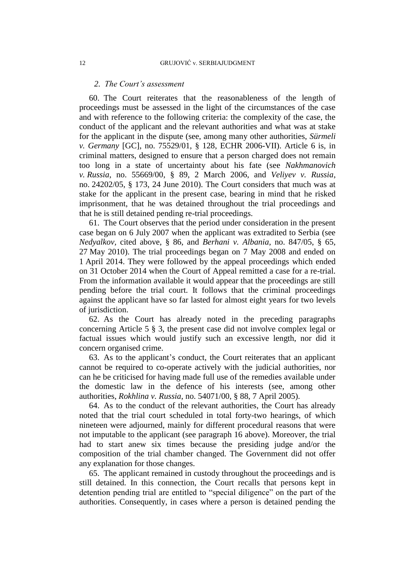#### *2. The Court's assessment*

60. The Court reiterates that the reasonableness of the length of proceedings must be assessed in the light of the circumstances of the case and with reference to the following criteria: the complexity of the case, the conduct of the applicant and the relevant authorities and what was at stake for the applicant in the dispute (see, among many other authorities, *Sürmeli v. Germany* [GC], no. 75529/01, § 128, ECHR 2006-VII). Article 6 is, in criminal matters, designed to ensure that a person charged does not remain too long in a state of uncertainty about his fate (see *Nakhmanovich v. Russia*, no. 55669/00, § 89, 2 March 2006, and *Veliyev v. Russia*, no. 24202/05, § 173, 24 June 2010). The Court considers that much was at stake for the applicant in the present case, bearing in mind that he risked imprisonment, that he was detained throughout the trial proceedings and that he is still detained pending re-trial proceedings.

61. The Court observes that the period under consideration in the present case began on 6 July 2007 when the applicant was extradited to Serbia (see *Nedyalkov,* cited above, § 86, and *Berhani v. Albania*, no. 847/05, § 65, 27 May 2010). The trial proceedings began on 7 May 2008 and ended on 1 April 2014. They were followed by the appeal proceedings which ended on 31 October 2014 when the Court of Appeal remitted a case for a re-trial. From the information available it would appear that the proceedings are still pending before the trial court. It follows that the criminal proceedings against the applicant have so far lasted for almost eight years for two levels of jurisdiction.

62. As the Court has already noted in the preceding paragraphs concerning Article 5 § 3, the present case did not involve complex legal or factual issues which would justify such an excessive length, nor did it concern organised crime.

63. As to the applicant's conduct, the Court reiterates that an applicant cannot be required to co-operate actively with the judicial authorities, nor can he be criticised for having made full use of the remedies available under the domestic law in the defence of his interests (see, among other authorities, *Rokhlina v. Russia*, no. 54071/00, § 88, 7 April 2005).

64. As to the conduct of the relevant authorities, the Court has already noted that the trial court scheduled in total forty-two hearings, of which nineteen were adjourned, mainly for different procedural reasons that were not imputable to the applicant (see paragraph [16](#page-3-2) above). Moreover, the trial had to start anew six times because the presiding judge and/or the composition of the trial chamber changed. The Government did not offer any explanation for those changes.

65. The applicant remained in custody throughout the proceedings and is still detained. In this connection, the Court recalls that persons kept in detention pending trial are entitled to "special diligence" on the part of the authorities. Consequently, in cases where a person is detained pending the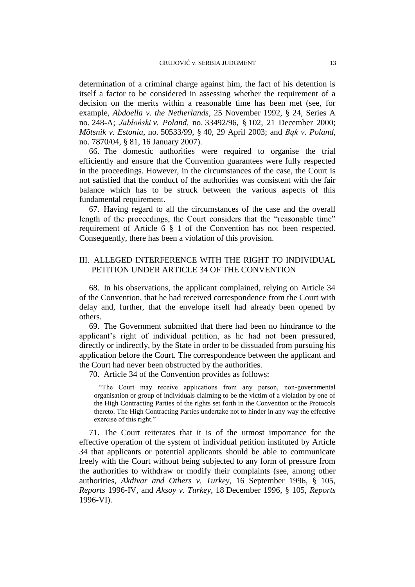determination of a criminal charge against him, the fact of his detention is itself a factor to be considered in assessing whether the requirement of a decision on the merits within a reasonable time has been met (see, for example, *Abdoella v. the Netherlands*, 25 November 1992, § 24, Series A no. 248-A; *Jabłoński v. Poland*, no. 33492/96, § 102, 21 December 2000; *Mõtsnik v. Estonia*, no. 50533/99, § 40, 29 April 2003; and *Bąk v. Poland*, no. 7870/04, § 81, 16 January 2007).

66. The domestic authorities were required to organise the trial efficiently and ensure that the Convention guarantees were fully respected in the proceedings. However, in the circumstances of the case, the Court is not satisfied that the conduct of the authorities was consistent with the fair balance which has to be struck between the various aspects of this fundamental requirement.

67. Having regard to all the circumstances of the case and the overall length of the proceedings, the Court considers that the "reasonable time" requirement of Article 6 § 1 of the Convention has not been respected. Consequently, there has been a violation of this provision.

# III. ALLEGED INTERFERENCE WITH THE RIGHT TO INDIVIDUAL PETITION UNDER ARTICLE 34 OF THE CONVENTION

68. In his observations, the applicant complained, relying on Article 34 of the Convention, that he had received correspondence from the Court with delay and, further, that the envelope itself had already been opened by others.

69. The Government submitted that there had been no hindrance to the applicant's right of individual petition, as he had not been pressured, directly or indirectly, by the State in order to be dissuaded from pursuing his application before the Court. The correspondence between the applicant and the Court had never been obstructed by the authorities.

70. Article 34 of the Convention provides as follows:

"The Court may receive applications from any person, non-governmental organisation or group of individuals claiming to be the victim of a violation by one of the High Contracting Parties of the rights set forth in the Convention or the Protocols thereto. The High Contracting Parties undertake not to hinder in any way the effective exercise of this right."

71. The Court reiterates that it is of the utmost importance for the effective operation of the system of individual petition instituted by Article 34 that applicants or potential applicants should be able to communicate freely with the Court without being subjected to any form of pressure from the authorities to withdraw or modify their complaints (see, among other authorities, *Akdivar and Others v. Turkey*, 16 September 1996, § 105, *Reports* 1996-IV, and *Aksoy v. Turkey*, 18 December 1996, § 105, *Reports* 1996-VI).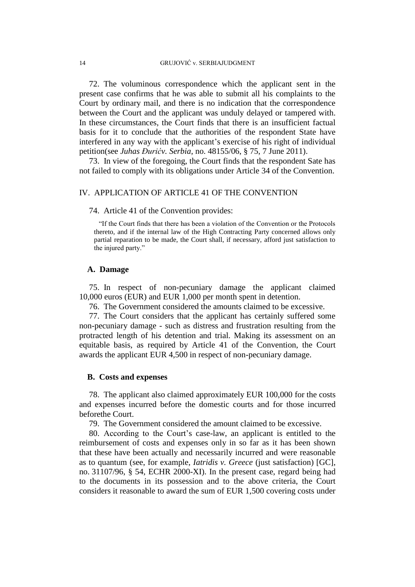72. The voluminous correspondence which the applicant sent in the present case confirms that he was able to submit all his complaints to the Court by ordinary mail, and there is no indication that the correspondence between the Court and the applicant was unduly delayed or tampered with. In these circumstances, the Court finds that there is an insufficient factual basis for it to conclude that the authorities of the respondent State have interfered in any way with the applicant's exercise of his right of individual petition(see *Juhas Đurićv. Serbia*, no. 48155/06, § 75, 7 June 2011).

73. In view of the foregoing, the Court finds that the respondent Sate has not failed to comply with its obligations under Article 34 of the Convention.

# IV. APPLICATION OF ARTICLE 41 OF THE CONVENTION

74. Article 41 of the Convention provides:

"If the Court finds that there has been a violation of the Convention or the Protocols thereto, and if the internal law of the High Contracting Party concerned allows only partial reparation to be made, the Court shall, if necessary, afford just satisfaction to the injured party."

#### **A. Damage**

75. In respect of non-pecuniary damage the applicant claimed 10,000 euros (EUR) and EUR 1,000 per month spent in detention.

76. The Government considered the amounts claimed to be excessive.

77. The Court considers that the applicant has certainly suffered some non-pecuniary damage - such as distress and frustration resulting from the protracted length of his detention and trial. Making its assessment on an equitable basis, as required by Article 41 of the Convention, the Court awards the applicant EUR 4,500 in respect of non-pecuniary damage.

# **B. Costs and expenses**

78. The applicant also claimed approximately EUR 100,000 for the costs and expenses incurred before the domestic courts and for those incurred beforethe Court.

79. The Government considered the amount claimed to be excessive.

80. According to the Court's case-law, an applicant is entitled to the reimbursement of costs and expenses only in so far as it has been shown that these have been actually and necessarily incurred and were reasonable as to quantum (see, for example, *Iatridis v. Greece* (just satisfaction) [GC], no. 31107/96, § 54, ECHR 2000-XI). In the present case, regard being had to the documents in its possession and to the above criteria, the Court considers it reasonable to award the sum of EUR 1,500 covering costs under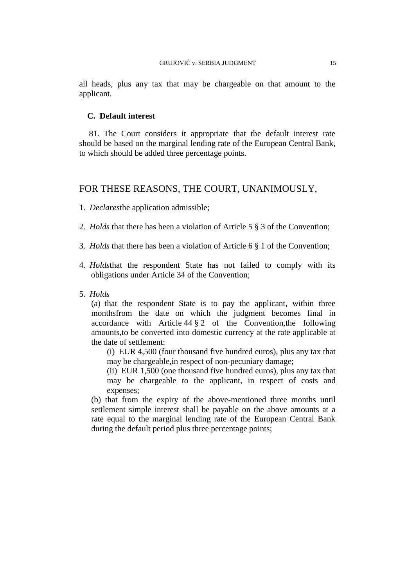all heads, plus any tax that may be chargeable on that amount to the applicant.

# **C. Default interest**

81. The Court considers it appropriate that the default interest rate should be based on the marginal lending rate of the European Central Bank, to which should be added three percentage points.

# FOR THESE REASONS, THE COURT, UNANIMOUSLY,

- 1. *Declares*the application admissible;
- 2. *Holds* that there has been a violation of Article 5 § 3 of the Convention;
- 3. *Holds* that there has been a violation of Article 6 § 1 of the Convention;
- 4. *Holds*that the respondent State has not failed to comply with its obligations under Article 34 of the Convention;
- 5. *Holds*

(a) that the respondent State is to pay the applicant, within three monthsfrom the date on which the judgment becomes final in accordance with Article 44 § 2 of the Convention,the following amounts,to be converted into domestic currency at the rate applicable at the date of settlement:

(i) EUR 4,500 (four thousand five hundred euros), plus any tax that may be chargeable,in respect of non-pecuniary damage;

(ii) EUR 1,500 (one thousand five hundred euros), plus any tax that may be chargeable to the applicant, in respect of costs and expenses;

(b) that from the expiry of the above-mentioned three months until settlement simple interest shall be payable on the above amounts at a rate equal to the marginal lending rate of the European Central Bank during the default period plus three percentage points;